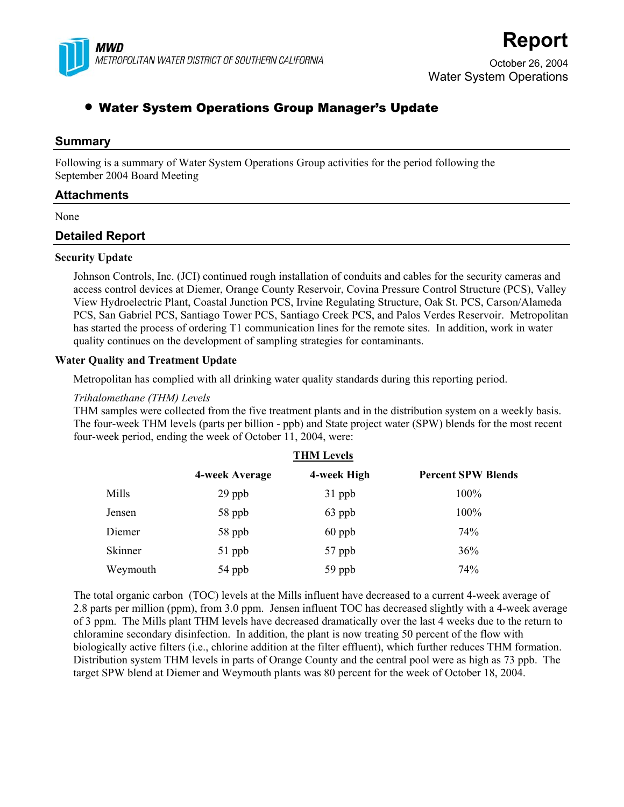

# **Report**

October 26, 2004 Water System Operations

## • Water System Operations Group Manager's Update

## **Summary**

Following is a summary of Water System Operations Group activities for the period following the September 2004 Board Meeting

## **Attachments**

None

## **Detailed Report**

### **Security Update**

Johnson Controls, Inc. (JCI) continued rough installation of conduits and cables for the security cameras and access control devices at Diemer, Orange County Reservoir, Covina Pressure Control Structure (PCS), Valley View Hydroelectric Plant, Coastal Junction PCS, Irvine Regulating Structure, Oak St. PCS, Carson/Alameda PCS, San Gabriel PCS, Santiago Tower PCS, Santiago Creek PCS, and Palos Verdes Reservoir. Metropolitan has started the process of ordering T1 communication lines for the remote sites. In addition, work in water quality continues on the development of sampling strategies for contaminants.

## **Water Quality and Treatment Update**

Metropolitan has complied with all drinking water quality standards during this reporting period.

## *Trihalomethane (THM) Levels*

THM samples were collected from the five treatment plants and in the distribution system on a weekly basis. The four-week THM levels (parts per billion - ppb) and State project water (SPW) blends for the most recent four-week period, ending the week of October 11, 2004, were:

|          | <b>THM Levels</b> |             |                           |  |
|----------|-------------------|-------------|---------------------------|--|
|          | 4-week Average    | 4-week High | <b>Percent SPW Blends</b> |  |
| Mills    | $29$ ppb          | 31 ppb      | 100%                      |  |
| Jensen   | 58 ppb            | 63 ppb      | 100%                      |  |
| Diemer   | 58 ppb            | $60$ ppb    | 74%                       |  |
| Skinner  | 51 ppb            | 57 ppb      | 36%                       |  |
| Weymouth | 54 ppb            | 59 ppb      | 74%                       |  |

The total organic carbon (TOC) levels at the Mills influent have decreased to a current 4-week average of 2.8 parts per million (ppm), from 3.0 ppm. Jensen influent TOC has decreased slightly with a 4-week average of 3 ppm. The Mills plant THM levels have decreased dramatically over the last 4 weeks due to the return to chloramine secondary disinfection. In addition, the plant is now treating 50 percent of the flow with biologically active filters (i.e., chlorine addition at the filter effluent), which further reduces THM formation. Distribution system THM levels in parts of Orange County and the central pool were as high as 73 ppb. The target SPW blend at Diemer and Weymouth plants was 80 percent for the week of October 18, 2004.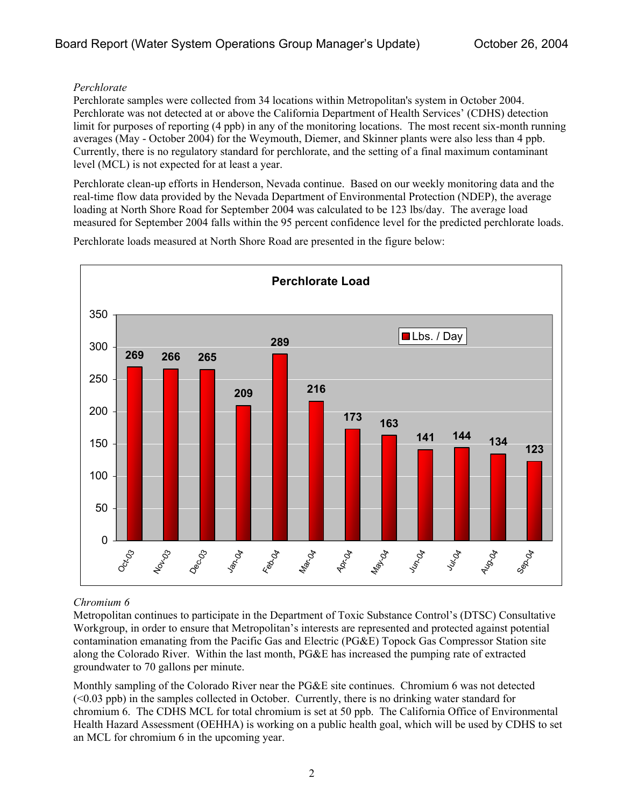## *Perchlorate*

Perchlorate samples were collected from 34 locations within Metropolitan's system in October 2004. Perchlorate was not detected at or above the California Department of Health Services' (CDHS) detection limit for purposes of reporting (4 ppb) in any of the monitoring locations. The most recent six-month running averages (May - October 2004) for the Weymouth, Diemer, and Skinner plants were also less than 4 ppb. Currently, there is no regulatory standard for perchlorate, and the setting of a final maximum contaminant level (MCL) is not expected for at least a year.

Perchlorate clean-up efforts in Henderson, Nevada continue. Based on our weekly monitoring data and the real-time flow data provided by the Nevada Department of Environmental Protection (NDEP), the average loading at North Shore Road for September 2004 was calculated to be 123 lbs/day. The average load measured for September 2004 falls within the 95 percent confidence level for the predicted perchlorate loads.

**Perchlorate Load 269 266 265 209 289 216 <sup>173</sup> <sup>163</sup> <sup>141</sup> <sup>144</sup> <sup>134</sup> <sup>123</sup>**  $\Omega$ 50 100 150 200 250 300 350 Oct-03 Nov-03 Dec<sub>CO3</sub> Van<sub>co</sub>v Feb-04 Mar-04 Apr-04 May-04 Vun<sub>co</sub> Jul-04 Aug.or Sep-04 Lbs. / Day

Perchlorate loads measured at North Shore Road are presented in the figure below:

## *Chromium 6*

Metropolitan continues to participate in the Department of Toxic Substance Control's (DTSC) Consultative Workgroup, in order to ensure that Metropolitan's interests are represented and protected against potential contamination emanating from the Pacific Gas and Electric (PG&E) Topock Gas Compressor Station site along the Colorado River. Within the last month, PG&E has increased the pumping rate of extracted groundwater to 70 gallons per minute.

Monthly sampling of the Colorado River near the PG&E site continues. Chromium 6 was not detected  $( $0.03$  ppb)$  in the samples collected in October. Currently, there is no drinking water standard for chromium 6. The CDHS MCL for total chromium is set at 50 ppb. The California Office of Environmental Health Hazard Assessment (OEHHA) is working on a public health goal, which will be used by CDHS to set an MCL for chromium 6 in the upcoming year.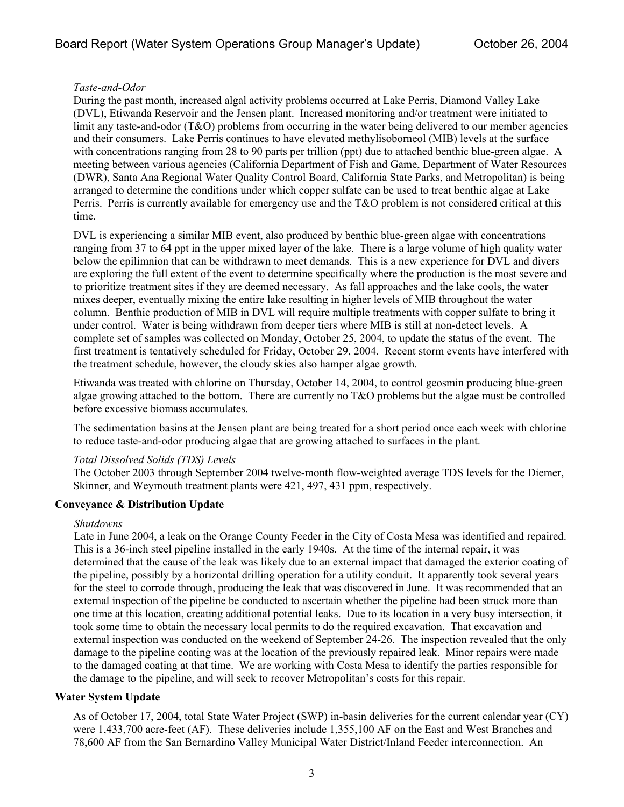## *Taste-and-Odor*

During the past month, increased algal activity problems occurred at Lake Perris, Diamond Valley Lake (DVL), Etiwanda Reservoir and the Jensen plant. Increased monitoring and/or treatment were initiated to limit any taste-and-odor (T&O) problems from occurring in the water being delivered to our member agencies and their consumers. Lake Perris continues to have elevated methylisoborneol (MIB) levels at the surface with concentrations ranging from 28 to 90 parts per trillion (ppt) due to attached benthic blue-green algae. A meeting between various agencies (California Department of Fish and Game, Department of Water Resources (DWR), Santa Ana Regional Water Quality Control Board, California State Parks, and Metropolitan) is being arranged to determine the conditions under which copper sulfate can be used to treat benthic algae at Lake Perris. Perris is currently available for emergency use and the T&O problem is not considered critical at this time.

DVL is experiencing a similar MIB event, also produced by benthic blue-green algae with concentrations ranging from 37 to 64 ppt in the upper mixed layer of the lake. There is a large volume of high quality water below the epilimnion that can be withdrawn to meet demands. This is a new experience for DVL and divers are exploring the full extent of the event to determine specifically where the production is the most severe and to prioritize treatment sites if they are deemed necessary. As fall approaches and the lake cools, the water mixes deeper, eventually mixing the entire lake resulting in higher levels of MIB throughout the water column. Benthic production of MIB in DVL will require multiple treatments with copper sulfate to bring it under control. Water is being withdrawn from deeper tiers where MIB is still at non-detect levels. A complete set of samples was collected on Monday, October 25, 2004, to update the status of the event. The first treatment is tentatively scheduled for Friday, October 29, 2004. Recent storm events have interfered with the treatment schedule, however, the cloudy skies also hamper algae growth.

Etiwanda was treated with chlorine on Thursday, October 14, 2004, to control geosmin producing blue-green algae growing attached to the bottom. There are currently no T&O problems but the algae must be controlled before excessive biomass accumulates.

The sedimentation basins at the Jensen plant are being treated for a short period once each week with chlorine to reduce taste-and-odor producing algae that are growing attached to surfaces in the plant.

### *Total Dissolved Solids (TDS) Levels*

The October 2003 through September 2004 twelve-month flow-weighted average TDS levels for the Diemer, Skinner, and Weymouth treatment plants were 421, 497, 431 ppm, respectively.

## **Conveyance & Distribution Update**

### *Shutdowns*

Late in June 2004, a leak on the Orange County Feeder in the City of Costa Mesa was identified and repaired. This is a 36-inch steel pipeline installed in the early 1940s. At the time of the internal repair, it was determined that the cause of the leak was likely due to an external impact that damaged the exterior coating of the pipeline, possibly by a horizontal drilling operation for a utility conduit. It apparently took several years for the steel to corrode through, producing the leak that was discovered in June. It was recommended that an external inspection of the pipeline be conducted to ascertain whether the pipeline had been struck more than one time at this location, creating additional potential leaks. Due to its location in a very busy intersection, it took some time to obtain the necessary local permits to do the required excavation. That excavation and external inspection was conducted on the weekend of September 24-26. The inspection revealed that the only damage to the pipeline coating was at the location of the previously repaired leak. Minor repairs were made to the damaged coating at that time. We are working with Costa Mesa to identify the parties responsible for the damage to the pipeline, and will seek to recover Metropolitan's costs for this repair.

### **Water System Update**

As of October 17, 2004, total State Water Project (SWP) in-basin deliveries for the current calendar year (CY) were 1,433,700 acre-feet (AF). These deliveries include 1,355,100 AF on the East and West Branches and 78,600 AF from the San Bernardino Valley Municipal Water District/Inland Feeder interconnection. An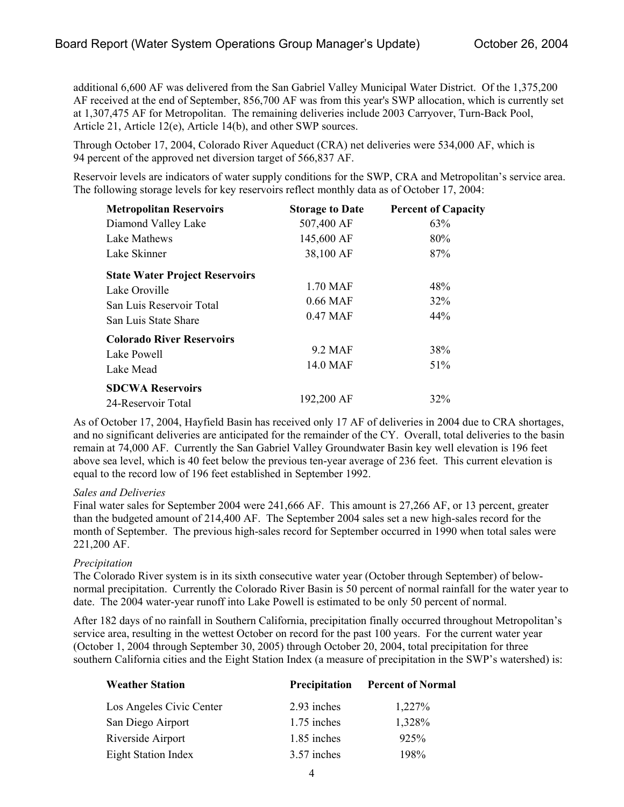additional 6,600 AF was delivered from the San Gabriel Valley Municipal Water District. Of the 1,375,200 AF received at the end of September, 856,700 AF was from this year's SWP allocation, which is currently set at 1,307,475 AF for Metropolitan. The remaining deliveries include 2003 Carryover, Turn-Back Pool, Article 21, Article 12(e), Article 14(b), and other SWP sources.

Through October 17, 2004, Colorado River Aqueduct (CRA) net deliveries were 534,000 AF, which is 94 percent of the approved net diversion target of 566,837 AF.

Reservoir levels are indicators of water supply conditions for the SWP, CRA and Metropolitan's service area. The following storage levels for key reservoirs reflect monthly data as of October 17, 2004:

| <b>Metropolitan Reservoirs</b>        | <b>Storage to Date</b>  | <b>Percent of Capacity</b> |
|---------------------------------------|-------------------------|----------------------------|
| Diamond Valley Lake                   | 507,400 AF              | 63%                        |
| Lake Mathews                          | 145,600 AF<br>38,100 AF | 80%<br>87%                 |
| Lake Skinner                          |                         |                            |
| <b>State Water Project Reservoirs</b> |                         |                            |
| Lake Oroville                         | 1.70 MAF                | 48%                        |
| San Luis Reservoir Total              | $0.66$ MAF              | 32%                        |
| San Luis State Share                  | 0.47 MAF                | 44%                        |
| <b>Colorado River Reservoirs</b>      |                         |                            |
| Lake Powell                           | 9.2 MAF                 | 38%                        |
| Lake Mead                             | 14.0 MAF                | 51%                        |
| <b>SDCWA Reservoirs</b>               |                         |                            |
| 24-Reservoir Total                    | 192,200 AF              | 32%                        |

As of October 17, 2004, Hayfield Basin has received only 17 AF of deliveries in 2004 due to CRA shortages, and no significant deliveries are anticipated for the remainder of the CY. Overall, total deliveries to the basin remain at 74,000 AF. Currently the San Gabriel Valley Groundwater Basin key well elevation is 196 feet above sea level, which is 40 feet below the previous ten-year average of 236 feet. This current elevation is equal to the record low of 196 feet established in September 1992.

### *Sales and Deliveries*

Final water sales for September 2004 were 241,666 AF. This amount is 27,266 AF, or 13 percent, greater than the budgeted amount of 214,400 AF. The September 2004 sales set a new high-sales record for the month of September. The previous high-sales record for September occurred in 1990 when total sales were 221,200 AF.

### *Precipitation*

The Colorado River system is in its sixth consecutive water year (October through September) of belownormal precipitation. Currently the Colorado River Basin is 50 percent of normal rainfall for the water year to date. The 2004 water-year runoff into Lake Powell is estimated to be only 50 percent of normal.

After 182 days of no rainfall in Southern California, precipitation finally occurred throughout Metropolitan's service area, resulting in the wettest October on record for the past 100 years. For the current water year (October 1, 2004 through September 30, 2005) through October 20, 2004, total precipitation for three southern California cities and the Eight Station Index (a measure of precipitation in the SWP's watershed) is:

| <b>Weather Station</b>   | Precipitation | <b>Percent of Normal</b> |
|--------------------------|---------------|--------------------------|
| Los Angeles Civic Center | 2.93 inches   | 1,227%                   |
| San Diego Airport        | 1.75 inches   | 1,328%                   |
| Riverside Airport        | 1.85 inches   | 925%                     |
| Eight Station Index      | 3.57 inches   | 198%                     |